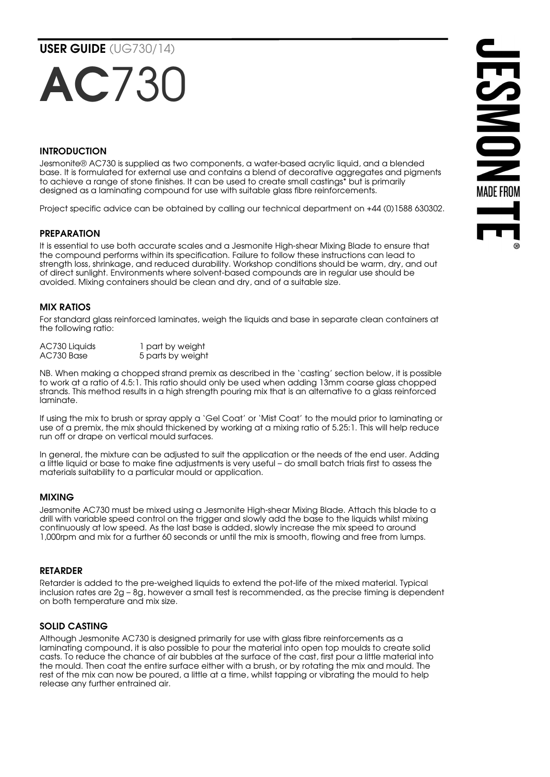# AC730

# INTRODUCTION

Jesmonite® AC730 is supplied as two components, a water-based acrylic liquid, and a blended base. It is formulated for external use and contains a blend of decorative aggregates and pigments to achieve a range of stone finishes. It can be used to create small castings\* but is primarily designed as a laminating compound for use with suitable glass fibre reinforcements.

Project specific advice can be obtained by calling our technical department on +44 (0)1588 630302.

### PREPARATION

It is essential to use both accurate scales and a Jesmonite High-shear Mixing Blade to ensure that the compound performs within its specification. Failure to follow these instructions can lead to strength loss, shrinkage, and reduced durability. Workshop conditions should be warm, dry, and out of direct sunlight. Environments where solvent-based compounds are in regular use should be avoided. Mixing containers should be clean and dry, and of a suitable size.

# MIX RATIOS

For standard glass reinforced laminates, weigh the liquids and base in separate clean containers at the following ratio:

| AC730 Liquids | 1 part by weight  |
|---------------|-------------------|
| AC730 Base    | 5 parts by weight |

NB. When making a chopped strand premix as described in the 'casting' section below, it is possible to work at a ratio of 4.5:1. This ratio should only be used when adding 13mm coarse glass chopped strands. This method results in a high strength pouring mix that is an alternative to a glass reinforced laminate.

If using the mix to brush or spray apply a 'Gel Coat' or 'Mist Coat' to the mould prior to laminating or use of a premix, the mix should thickened by working at a mixing ratio of 5.25:1. This will help reduce run off or drape on vertical mould surfaces.

In general, the mixture can be adjusted to suit the application or the needs of the end user. Adding a little liquid or base to make fine adjustments is very useful – do small batch trials first to assess the materials suitability to a particular mould or application.

#### MIXING

Jesmonite AC730 must be mixed using a Jesmonite High-shear Mixing Blade. Attach this blade to a drill with variable speed control on the trigger and slowly add the base to the liquids whilst mixing continuously at low speed. As the last base is added, slowly increase the mix speed to around 1,000rpm and mix for a further 60 seconds or until the mix is smooth, flowing and free from lumps.

#### RETARDER

Retarder is added to the pre-weighed liquids to extend the pot-life of the mixed material. Typical inclusion rates are 2g – 8g, however a small test is recommended, as the precise timing is dependent on both temperature and mix size.

#### SOLID CASTING

Although Jesmonite AC730 is designed primarily for use with glass fibre reinforcements as a laminating compound, it is also possible to pour the material into open top moulds to create solid casts. To reduce the chance of air bubbles at the surface of the cast, first pour a little material into the mould. Then coat the entire surface either with a brush, or by rotating the mix and mould. The rest of the mix can now be poured, a little at a time, whilst tapping or vibrating the mould to help release any further entrained air.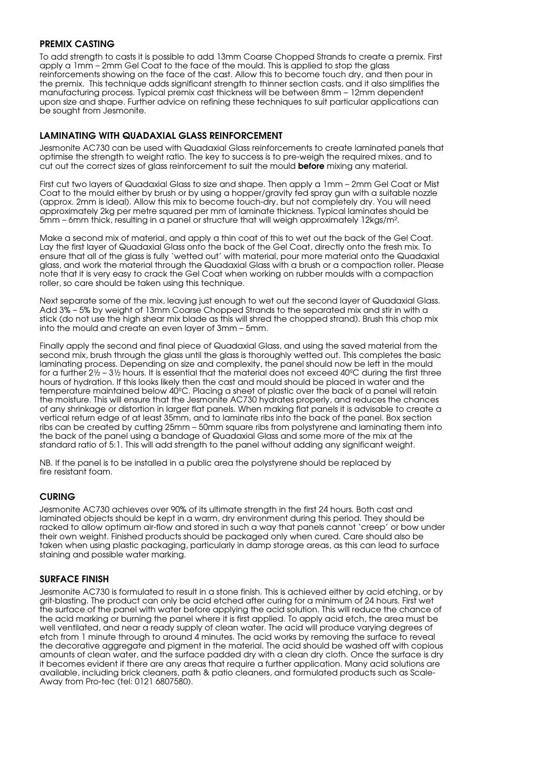#### PREMIX CASTING

To add strength to casts it is possible to add 13mm Coarse Chopped Strands to create a premix. First apply a 1mm – 2mm Gel Coat to the face of the mould. This is applied to stop the glass reinforcements showing on the face of the cast. Allow this to become touch dry, and then pour in the premix. This technique adds significant strength to thinner section casts, and it also simplifies the manufacturing process. Typical premix cast thickness will be between 8mm – 12mm dependent upon size and shape. Further advice on refining these techniques to suit particular applications can be sought from Jesmonite.

#### LAMINATING WITH QUADAXIAL GLASS REINFORCEMENT

Jesmonite AC730 can be used with Quadaxial Glass reinforcements to create laminated panels that optimise the strength to weight ratio. The key to success is to pre-weigh the required mixes, and to cut out the correct sizes of glass reinforcement to suit the mould **before** mixing any material.

First cut two layers of Quadaxial Glass to size and shape. Then apply a 1mm – 2mm Gel Coat or Mist Coat to the mould either by brush or by using a hopper/gravity fed spray gun with a suitable nozzle (approx. 2mm is ideal). Allow this mix to become touch-dry, but not completely dry. You will need approximately 2kg per metre squared per mm of laminate thickness. Typical laminates should be 5mm – 6mm thick, resulting in a panel or structure that will weigh approximately 12kgs/m².

Make a second mix of material, and apply a thin coat of this to wet out the back of the Gel Coat. Lay the first layer of Quadaxial Glass onto the back of the Gel Coat, directly onto the fresh mix. To ensure that all of the glass is fully 'wetted out' with material, pour more material onto the Quadaxial glass, and work the material through the Quadaxial Glass with a brush or a compaction roller. Please note that it is very easy to crack the Gel Coat when working on rubber moulds with a compaction roller, so care should be taken using this technique.

Next separate some of the mix, leaving just enough to wet out the second laver of Quadaxial Glass. Add 3% – 5% by weight of 13mm Coarse Chopped Strands to the separated mix and stir in with a stick (do not use the high shear mix blade as this will shred the chopped strand). Brush this chop mix into the mould and create an even layer of 3mm – 5mm.

Finally apply the second and final piece of Quadaxial Glass, and using the saved material from the second mix, brush through the glass until the glass is thoroughly wetted out. This completes the basic laminating process. Depending on size and complexity, the panel should now be left in the mould for a further 2½ – 3½ hours. It is essential that the material does not exceed 40ºC during the first three hours of hydration. If this looks likely then the cast and mould should be placed in water and the temperature maintained below 40ºC. Placing a sheet of plastic over the back of a panel will retain the moisture. This will ensure that the Jesmonite AC730 hydrates properly, and reduces the chances of any shrinkage or distortion in larger flat panels. When making flat panels it is advisable to create a vertical return edge of at least 35mm, and to laminate ribs into the back of the panel. Box section ribs can be created by cutting 25mm – 50mm square ribs from polystyrene and laminating them into the back of the panel using a bandage of Quadaxial Glass and some more of the mix at the standard ratio of 5:1. This will add strength to the panel without adding any significant weight.

NB. If the panel is to be installed in a public area the polystyrene should be replaced by fire resistant foam.

#### CURING

Jesmonite AC730 achieves over 90% of its ultimate strength in the first 24 hours. Both cast and laminated objects should be kept in a warm, dry environment during this period. They should be racked to allow optimum air-flow and stored in such a way that panels cannot 'creep' or bow under their own weight. Finished products should be packaged only when cured. Care should also be taken when using plastic packaging, particularly in damp storage areas, as this can lead to surface staining and possible water marking.

#### SURFACE FINISH

Jesmonite AC730 is formulated to result in a stone finish. This is achieved either by acid etching, or by grit-blasting. The product can only be acid etched after curing for a minimum of 24 hours. First wet the surface of the panel with water before applying the acid solution. This will reduce the chance of the acid marking or burning the panel where it is first applied. To apply acid etch, the area must be well ventilated, and near a ready supply of clean water. The acid will produce varying degrees of etch from 1 minute through to around 4 minutes. The acid works by removing the surface to reveal the decorative aggregate and pigment in the material. The acid should be washed off with copious amounts of clean water, and the surface padded dry with a clean dry cloth. Once the surface is dry it becomes evident if there are any areas that require a further application. Many acid solutions are available, including brick cleaners, path & patio cleaners, and formulated products such as Scale-Away from Pro-tec (tel: 0121 6807580).